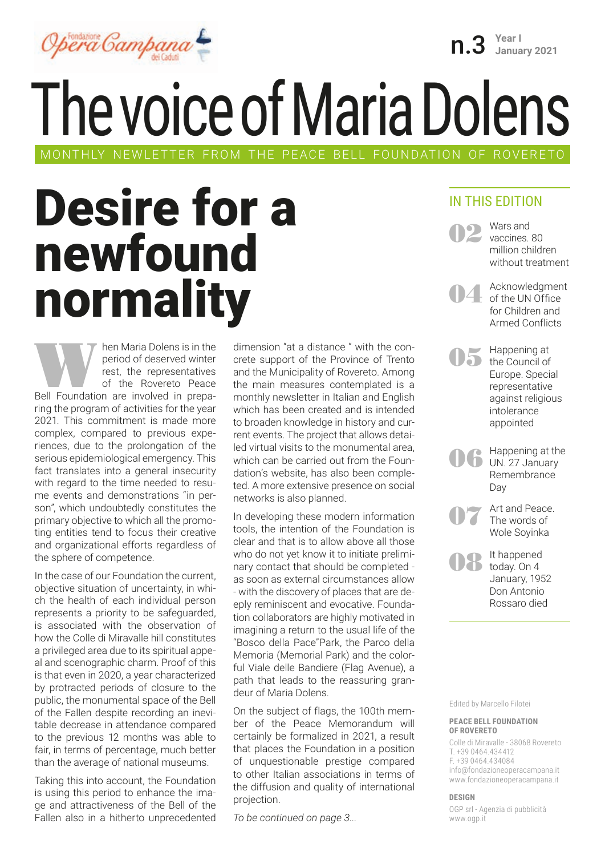

The voice of Maria Dolens MONTHLY NEWLETTER FROM THE PEACE BELL FOUNDATION OF ROVERETO

### Desire for a newfound normality

Maria Dolens is in the period of deserved winter<br>
rest, the representatives<br>
Bell Foundation are involved in prepaperiod of deserved winter rest, the representatives of the Rovereto Peace ring the program of activities for the year 2021. This commitment is made more complex, compared to previous experiences, due to the prolongation of the serious epidemiological emergency. This fact translates into a general insecurity with regard to the time needed to resume events and demonstrations "in person", which undoubtedly constitutes the primary objective to which all the promoting entities tend to focus their creative and organizational efforts regardless of the sphere of competence.

In the case of our Foundation the current, objective situation of uncertainty, in which the health of each individual person represents a priority to be safeguarded, is associated with the observation of how the Colle di Miravalle hill constitutes a privileged area due to its spiritual appeal and scenographic charm. Proof of this is that even in 2020, a year characterized by protracted periods of closure to the public, the monumental space of the Bell of the Fallen despite recording an inevitable decrease in attendance compared to the previous 12 months was able to fair, in terms of percentage, much better than the average of national museums.

Taking this into account, the Foundation is using this period to enhance the image and attractiveness of the Bell of the Fallen also in a hitherto unprecedented

dimension "at a distance " with the concrete support of the Province of Trento and the Municipality of Rovereto. Among the main measures contemplated is a monthly newsletter in Italian and English which has been created and is intended to broaden knowledge in history and current events. The project that allows detailed virtual visits to the monumental area, which can be carried out from the Foundation's website, has also been completed. A more extensive presence on social networks is also planned.

In developing these modern information tools, the intention of the Foundation is clear and that is to allow above all those who do not yet know it to initiate preliminary contact that should be completed as soon as external circumstances allow - with the discovery of places that are deeply reminiscent and evocative. Foundation collaborators are highly motivated in imagining a return to the usual life of the "Bosco della Pace"Park, the Parco della Memoria (Memorial Park) and the colorful Viale delle Bandiere (Flag Avenue), a path that leads to the reassuring grandeur of Maria Dolens.

On the subject of flags, the 100th member of the Peace Memorandum will certainly be formalized in 2021, a result that places the Foundation in a position of unquestionable prestige compared to other Italian associations in terms of the diffusion and quality of international projection.

*To be continued on page 3...*

#### IN THIS EDITION

n.3 **Year I January 2021**

**02** Wars and vaccines. 80 million children without treatment

04 Acknowledgment<br>of the UN Office for Children and Armed Conflicts

05 Happening at the Council of Europe. Special representative against religious intolerance appointed

**106** Happening at the Remembrance Day

07 Art and Peace. The words of Wole Soyinka

<sup>It happened</sup><br>today. On 4 January, 1952 Don Antonio Rossaro died

Edited by Marcello Filotei

#### **PEACE BELL FOUNDATION OF ROVERETO**

Colle di Miravalle - 38068 Rovereto T. +39 0464.434412 F. +39 0464.434084 info@fondazioneoperacampana.it www.fondazioneoperacampana.it

**DESIGN**

OGP srl - Agenzia di pubblicità www.ogp.it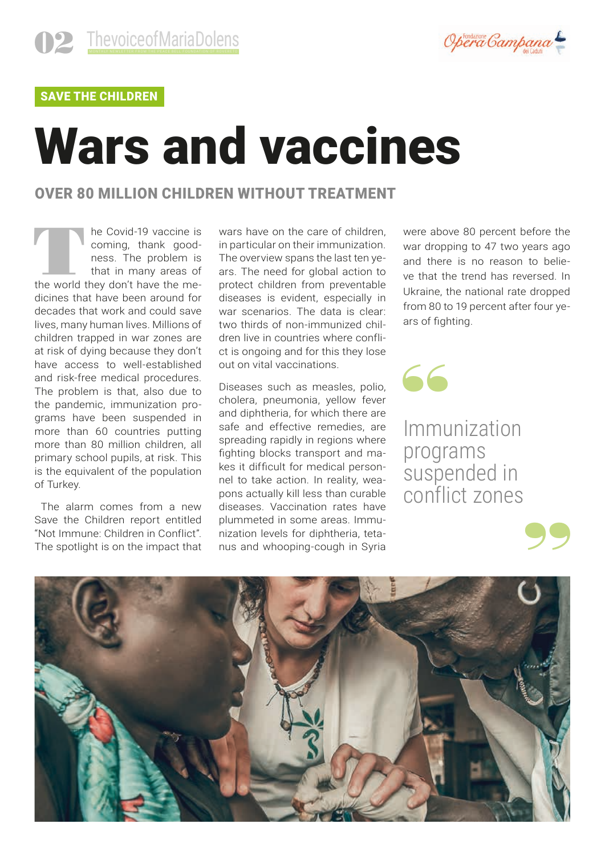

### SAVE THE CHILDREN

## Wars and vaccines

### OVER 80 MILLION CHILDREN WITHOUT TREATMENT

The Covid-19 vaccine is<br>
coming, thank good-<br>
ness. The problem is<br>
that in many areas of<br>
the world they don't have the mecoming, thank goodness. The problem is that in many areas of dicines that have been around for decades that work and could save lives, many human lives. Millions of children trapped in war zones are at risk of dying because they don't have access to well-established and risk-free medical procedures. The problem is that, also due to the pandemic, immunization programs have been suspended in more than 60 countries putting more than 80 million children, all primary school pupils, at risk. This is the equivalent of the population of Turkey.

 The alarm comes from a new Save the Children report entitled "Not Immune: Children in Conflict". The spotlight is on the impact that wars have on the care of children. in particular on their immunization. The overview spans the last ten years. The need for global action to protect children from preventable diseases is evident, especially in war scenarios. The data is clear: two thirds of non-immunized children live in countries where conflict is ongoing and for this they lose out on vital vaccinations.

Diseases such as measles, polio, cholera, pneumonia, yellow fever and diphtheria, for which there are safe and effective remedies, are spreading rapidly in regions where fighting blocks transport and makes it difficult for medical personnel to take action. In reality, weapons actually kill less than curable diseases. Vaccination rates have plummeted in some areas. Immunization levels for diphtheria, tetanus and whooping-cough in Syria

were above 80 percent before the war dropping to 47 two years ago and there is no reason to believe that the trend has reversed. In Ukraine, the national rate dropped from 80 to 19 percent after four years of fighting.

Immunization programs suspended in conflict zones

"

99

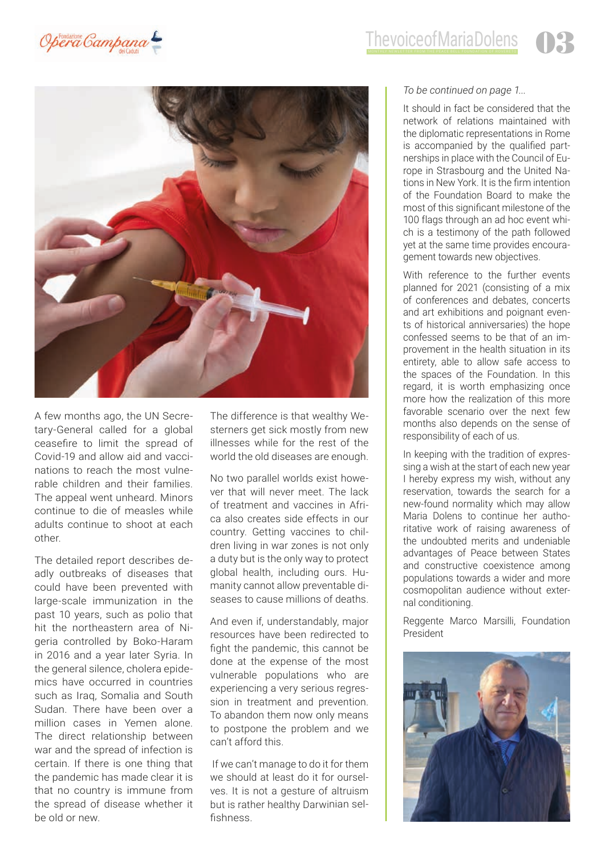



A few months ago, the UN Secretary-General called for a global ceasefire to limit the spread of Covid-19 and allow aid and vaccinations to reach the most vulnerable children and their families. The appeal went unheard. Minors continue to die of measles while adults continue to shoot at each other.

The detailed report describes deadly outbreaks of diseases that could have been prevented with large-scale immunization in the past 10 years, such as polio that hit the northeastern area of Nigeria controlled by Boko-Haram in 2016 and a year later Syria. In the general silence, cholera epidemics have occurred in countries such as Iraq, Somalia and South Sudan. There have been over a million cases in Yemen alone. The direct relationship between war and the spread of infection is certain. If there is one thing that the pandemic has made clear it is that no country is immune from the spread of disease whether it be old or new.

The difference is that wealthy Westerners get sick mostly from new illnesses while for the rest of the world the old diseases are enough.

No two parallel worlds exist however that will never meet. The lack of treatment and vaccines in Africa also creates side effects in our country. Getting vaccines to children living in war zones is not only a duty but is the only way to protect global health, including ours. Humanity cannot allow preventable diseases to cause millions of deaths.

And even if, understandably, major resources have been redirected to fight the pandemic, this cannot be done at the expense of the most vulnerable populations who are experiencing a very serious regression in treatment and prevention. To abandon them now only means to postpone the problem and we can't afford this.

 If we can't manage to do it for them we should at least do it for ourselves. It is not a gesture of altruism but is rather healthy Darwinian selfishness.

#### *To be continued on page 1...*

It should in fact be considered that the network of relations maintained with the diplomatic representations in Rome is accompanied by the qualified partnerships in place with the Council of Europe in Strasbourg and the United Nations in New York. It is the firm intention of the Foundation Board to make the most of this significant milestone of the 100 flags through an ad hoc event which is a testimony of the path followed yet at the same time provides encouragement towards new objectives.

With reference to the further events planned for 2021 (consisting of a mix of conferences and debates, concerts and art exhibitions and poignant events of historical anniversaries) the hope confessed seems to be that of an improvement in the health situation in its entirety, able to allow safe access to the spaces of the Foundation. In this regard, it is worth emphasizing once more how the realization of this more favorable scenario over the next few months also depends on the sense of responsibility of each of us.

In keeping with the tradition of expressing a wish at the start of each new year I hereby express my wish, without any reservation, towards the search for a new-found normality which may allow Maria Dolens to continue her authoritative work of raising awareness of the undoubted merits and undeniable advantages of Peace between States and constructive coexistence among populations towards a wider and more cosmopolitan audience without external conditioning.

Reggente Marco Marsilli, Foundation President

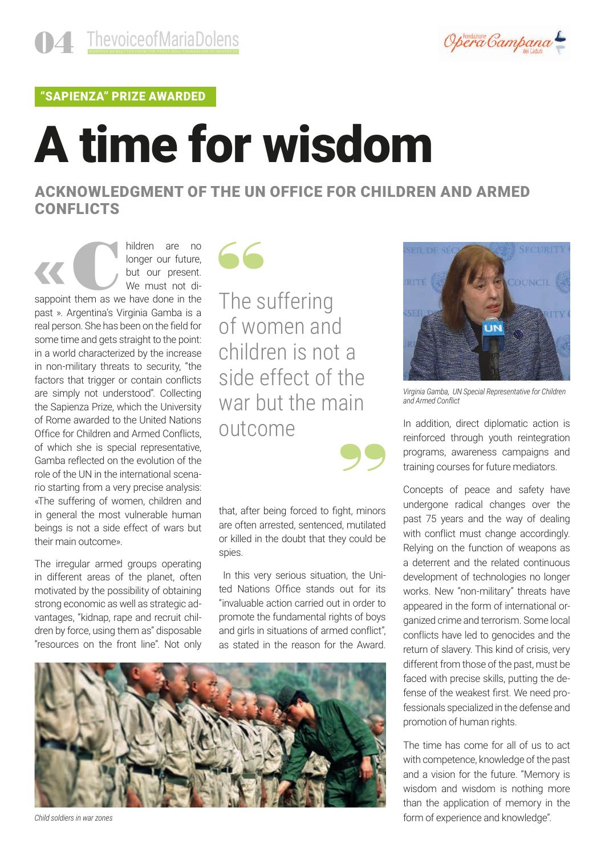

"SAPIENZA" PRIZE AWARDED

# A time for wisdom

ACKNOWLEDGMENT OF THE UN OFFICE FOR CHILDREN AND ARMED **CONFLICTS** 

hildren are no<br>
longer our future,<br>
but our present.<br>
We must not di-<br>
sappoint them as we have done in the longer our future, but our present. We must not dipast ». Argentina's Virginia Gamba is a real person. She has been on the field for some time and gets straight to the point: in a world characterized by the increase in non-military threats to security, "the factors that trigger or contain conflicts are simply not understood". Collecting the Sapienza Prize, which the University of Rome awarded to the United Nations Office for Children and Armed Conflicts, of which she is special representative, Gamba reflected on the evolution of the role of the UN in the international scenario starting from a very precise analysis: «The suffering of women, children and in general the most vulnerable human beings is not a side effect of wars but their main outcome».

The irregular armed groups operating in different areas of the planet, often motivated by the possibility of obtaining strong economic as well as strategic advantages, "kidnap, rape and recruit children by force, using them as" disposable "resources on the front line". Not only



The suffering of women and children is not a side effect of the war but the main outcome 99

that, after being forced to fight, minors are often arrested, sentenced, mutilated or killed in the doubt that they could be spies.

 In this very serious situation, the United Nations Office stands out for its "invaluable action carried out in order to promote the fundamental rights of boys and girls in situations of armed conflict", as stated in the reason for the Award.



*Child soldiers in war zones*



*Virginia Gamba, UN Special Representative for Children and Armed Conflict*

In addition, direct diplomatic action is reinforced through youth reintegration programs, awareness campaigns and training courses for future mediators.

Concepts of peace and safety have undergone radical changes over the past 75 years and the way of dealing with conflict must change accordingly. Relying on the function of weapons as a deterrent and the related continuous development of technologies no longer works. New "non-military" threats have appeared in the form of international organized crime and terrorism. Some local conflicts have led to genocides and the return of slavery. This kind of crisis, very different from those of the past, must be faced with precise skills, putting the defense of the weakest first. We need professionals specialized in the defense and promotion of human rights.

The time has come for all of us to act with competence, knowledge of the past and a vision for the future. "Memory is wisdom and wisdom is nothing more than the application of memory in the form of experience and knowledge".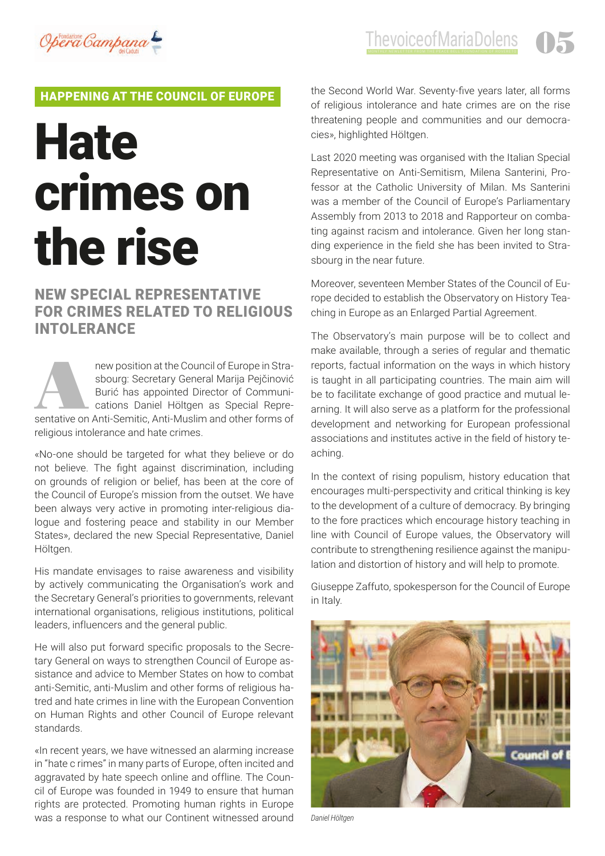

### HAPPENING AT THE COUNCIL OF EUROPE

## **Hate** crimes on the rise

### NEW SPECIAL REPRESENTATIVE FOR CRIMES RELATED TO RELIGIOUS INTOLERANCE

new position at the Council of Europe in Stra-<br>
sbourg: Secretary General Marija Pejčinović<br>
Burić has appointed Director of Communi-<br>
cations Daniel Höltgen as Special Repre-<br>
sentative on Anti-Semitic, Anti-Muslim and ot sbourg: Secretary General Marija Pejčinović Burić has appointed Director of Communications Daniel Höltgen as Special Reprereligious intolerance and hate crimes.

«No-one should be targeted for what they believe or do not believe. The fight against discrimination, including on grounds of religion or belief, has been at the core of the Council of Europe's mission from the outset. We have been always very active in promoting inter-religious dialogue and fostering peace and stability in our Member States», declared the new Special Representative, Daniel Höltgen.

His mandate envisages to raise awareness and visibility by actively communicating the Organisation's work and the Secretary General's priorities to governments, relevant international organisations, religious institutions, political leaders, influencers and the general public.

He will also put forward specific proposals to the Secretary General on ways to strengthen Council of Europe assistance and advice to Member States on how to combat anti-Semitic, anti-Muslim and other forms of religious hatred and hate crimes in line with the European Convention on Human Rights and other Council of Europe relevant standards.

«In recent years, we have witnessed an alarming increase in "hate c rimes" in many parts of Europe, often incited and aggravated by hate speech online and offline. The Council of Europe was founded in 1949 to ensure that human rights are protected. Promoting human rights in Europe was a response to what our Continent witnessed around the Second World War. Seventy-five years later, all forms of religious intolerance and hate crimes are on the rise threatening people and communities and our democracies», highlighted Höltgen.

Last 2020 meeting was organised with the Italian Special Representative on Anti-Semitism, Milena Santerini, Professor at the Catholic University of Milan. Ms Santerini was a member of the Council of Europe's Parliamentary Assembly from 2013 to 2018 and Rapporteur on combating against racism and intolerance. Given her long standing experience in the field she has been invited to Strasbourg in the near future.

Moreover, seventeen Member States of the Council of Europe decided to establish the Observatory on History Teaching in Europe as an Enlarged Partial Agreement.

The Observatory's main purpose will be to collect and make available, through a series of regular and thematic reports, factual information on the ways in which history is taught in all participating countries. The main aim will be to facilitate exchange of good practice and mutual learning. It will also serve as a platform for the professional development and networking for European professional associations and institutes active in the field of history teaching.

In the context of rising populism, history education that encourages multi-perspectivity and critical thinking is key to the development of a culture of democracy. By bringing to the fore practices which encourage history teaching in line with Council of Europe values, the Observatory will contribute to strengthening resilience against the manipulation and distortion of history and will help to promote.

Giuseppe Zaffuto, spokesperson for the Council of Europe in Italy.



*Daniel Höltgen*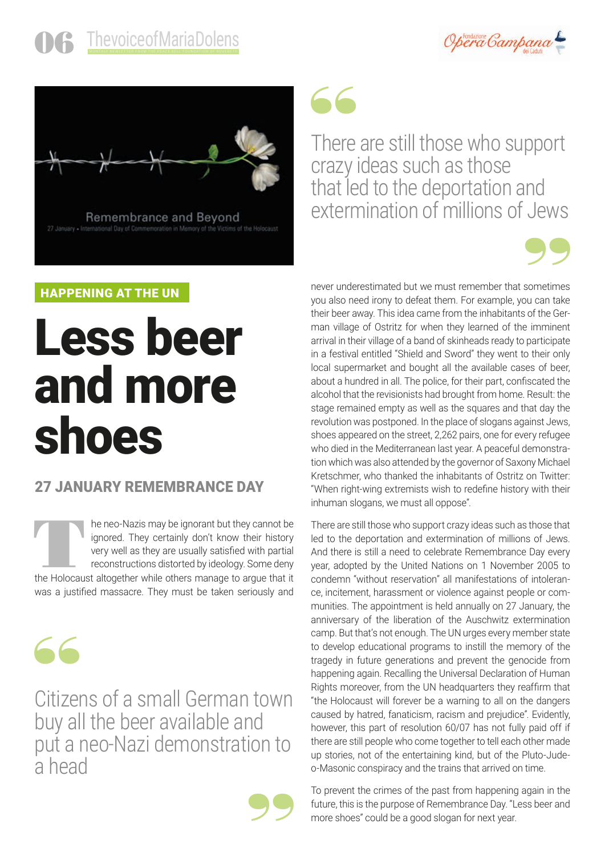



Remembrance and Beyond

HAPPENING AT THE UN

### Less beer and more shoes

### 27 JANUARY REMEMBRANCE DAY

The neo-Nazis may be ignorant but they cannot be ignored. They certainly don't know their history very well as they are usually satisfied with partial reconstructions distorted by ideology. Some deny the Holocaust altogeth ignored. They certainly don't know their history very well as they are usually satisfied with partial reconstructions distorted by ideology. Some deny was a justified massacre. They must be taken seriously and



Citizens of a small German town buy all the beer available and put a neo-Nazi demonstration to a head



### "

There are still those who support crazy ideas such as those that led to the deportation and extermination of millions of Jews



never underestimated but we must remember that sometimes you also need irony to defeat them. For example, you can take their beer away. This idea came from the inhabitants of the German village of Ostritz for when they learned of the imminent arrival in their village of a band of skinheads ready to participate in a festival entitled "Shield and Sword" they went to their only local supermarket and bought all the available cases of beer, about a hundred in all. The police, for their part, confiscated the alcohol that the revisionists had brought from home. Result: the stage remained empty as well as the squares and that day the revolution was postponed. In the place of slogans against Jews, shoes appeared on the street, 2,262 pairs, one for every refugee who died in the Mediterranean last year. A peaceful demonstration which was also attended by the governor of Saxony Michael Kretschmer, who thanked the inhabitants of Ostritz on Twitter: "When right-wing extremists wish to redefine history with their inhuman slogans, we must all oppose".

There are still those who support crazy ideas such as those that led to the deportation and extermination of millions of Jews. And there is still a need to celebrate Remembrance Day every year, adopted by the United Nations on 1 November 2005 to condemn "without reservation" all manifestations of intolerance, incitement, harassment or violence against people or communities. The appointment is held annually on 27 January, the anniversary of the liberation of the Auschwitz extermination camp. But that's not enough. The UN urges every member state to develop educational programs to instill the memory of the tragedy in future generations and prevent the genocide from happening again. Recalling the Universal Declaration of Human Rights moreover, from the UN headquarters they reaffirm that "the Holocaust will forever be a warning to all on the dangers caused by hatred, fanaticism, racism and prejudice". Evidently, however, this part of resolution 60/07 has not fully paid off if there are still people who come together to tell each other made up stories, not of the entertaining kind, but of the Pluto-Judeo-Masonic conspiracy and the trains that arrived on time.

To prevent the crimes of the past from happening again in the future, this is the purpose of Remembrance Day. "Less beer and more shoes" could be a good slogan for next year.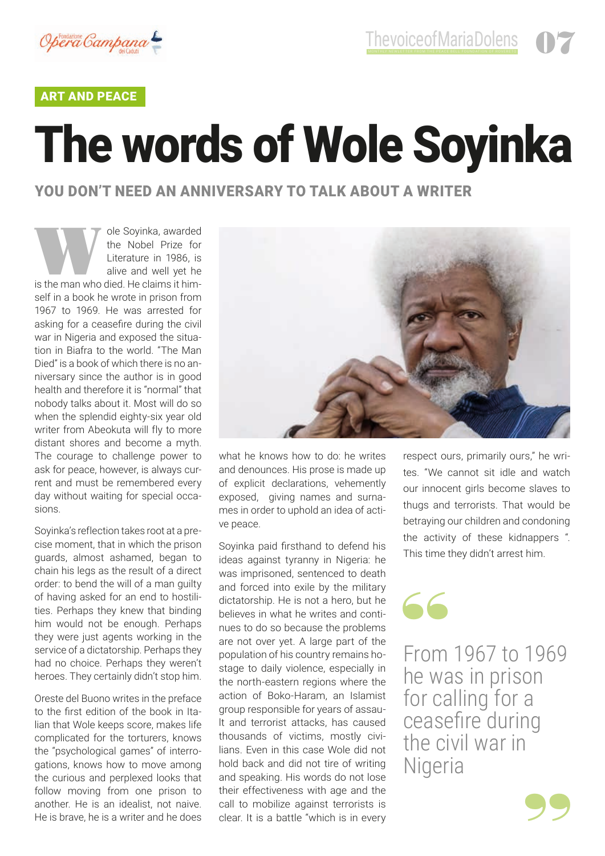

#### ART AND PEACE

# The words of Wole Soyinka

### YOU DON'T NEED AN ANNIVERSARY TO TALK ABOUT A WRITER

Nole Soyinka, awarded<br>
the Nobel Prize for<br>
Literature in 1986, is<br>
alive and well yet he<br>
is the man who died. He claims it himthe Nobel Prize for Literature in 1986, is alive and well yet he self in a book he wrote in prison from 1967 to 1969. He was arrested for asking for a ceasefire during the civil war in Nigeria and exposed the situation in Biafra to the world. "The Man Died" is a book of which there is no anniversary since the author is in good health and therefore it is "normal" that nobody talks about it. Most will do so when the splendid eighty-six year old writer from Abeokuta will fly to more distant shores and become a myth. The courage to challenge power to ask for peace, however, is always current and must be remembered every day without waiting for special occasions.

Soyinka's reflection takes root at a precise moment, that in which the prison guards, almost ashamed, began to chain his legs as the result of a direct order: to bend the will of a man guilty of having asked for an end to hostilities. Perhaps they knew that binding him would not be enough. Perhaps they were just agents working in the service of a dictatorship. Perhaps they had no choice. Perhaps they weren't heroes. They certainly didn't stop him.

Oreste del Buono writes in the preface to the first edition of the book in Italian that Wole keeps score, makes life complicated for the torturers, knows the "psychological games" of interrogations, knows how to move among the curious and perplexed looks that follow moving from one prison to another. He is an idealist, not naive. He is brave, he is a writer and he does



what he knows how to do: he writes and denounces. His prose is made up of explicit declarations, vehemently exposed, giving names and surnames in order to uphold an idea of active peace.

Soyinka paid firsthand to defend his ideas against tyranny in Nigeria: he was imprisoned, sentenced to death and forced into exile by the military dictatorship. He is not a hero, but he believes in what he writes and continues to do so because the problems are not over yet. A large part of the population of his country remains hostage to daily violence, especially in the north-eastern regions where the action of Boko-Haram, an Islamist group responsible for years of assault and terrorist attacks, has caused thousands of victims, mostly civilians. Even in this case Wole did not hold back and did not tire of writing and speaking. His words do not lose their effectiveness with age and the call to mobilize against terrorists is clear. It is a battle "which is in every

respect ours, primarily ours," he writes. "We cannot sit idle and watch our innocent girls become slaves to thugs and terrorists. That would be betraying our children and condoning the activity of these kidnappers ". This time they didn't arrest him.

### "

From 1967 to 1969 he was in prison for calling for a ceasefire during the civil war in Nigeria

99